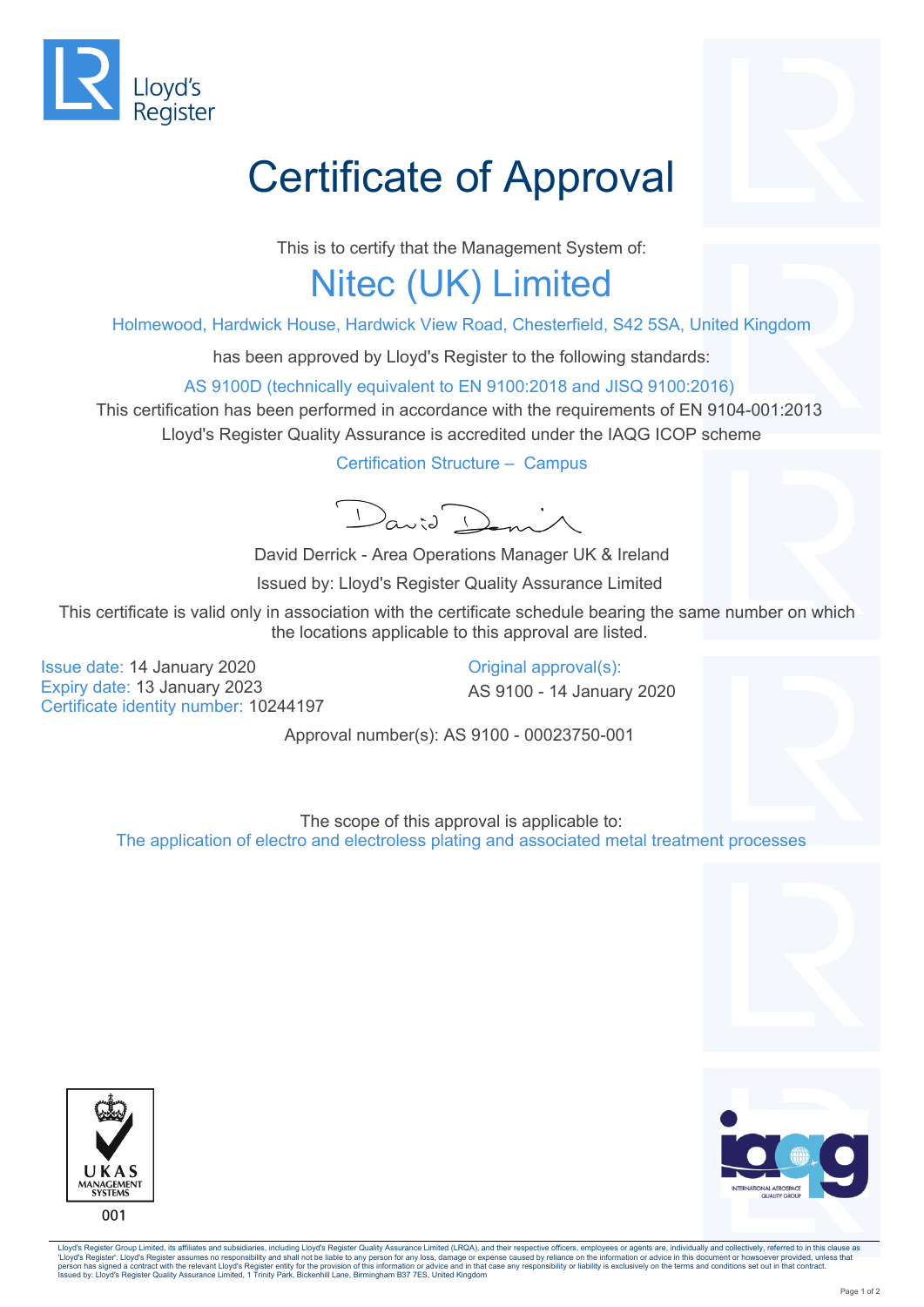

## Certificate of Approval

This is to certify that the Management System of:

## Nitec (UK) Limited

Holmewood, Hardwick House, Hardwick View Road, Chesterfield, S42 5SA, United Kingdom

has been approved by Lloyd's Register to the following standards:

AS 9100D (technically equivalent to EN 9100:2018 and JISQ 9100:2016)

This certification has been performed in accordance with the requirements of EN 9104-001:2013 Lloyd's Register Quality Assurance is accredited under the IAQG ICOP scheme

Certification Structure – Campus

David Deni

David Derrick - Area Operations Manager UK & Ireland

Issued by: Lloyd's Register Quality Assurance Limited

This certificate is valid only in association with the certificate schedule bearing the same number on which the locations applicable to this approval are listed.

Issue date: 14 January 2020 Expiry date: 13 January 2023 Certificate identity number: 10244197

Original approval(s): AS 9100 - 14 January 2020

Approval number(s): AS 9100 - 00023750-001

The scope of this approval is applicable to: The application of electro and electroless plating and associated metal treatment processes





Lloyd's Register Group Limited, its affiliates and subsidiaries, including Lloyd's Register Quality Assurance Limited (LRQA), and their respective officers, employees or agents are, individually and collectively, referred